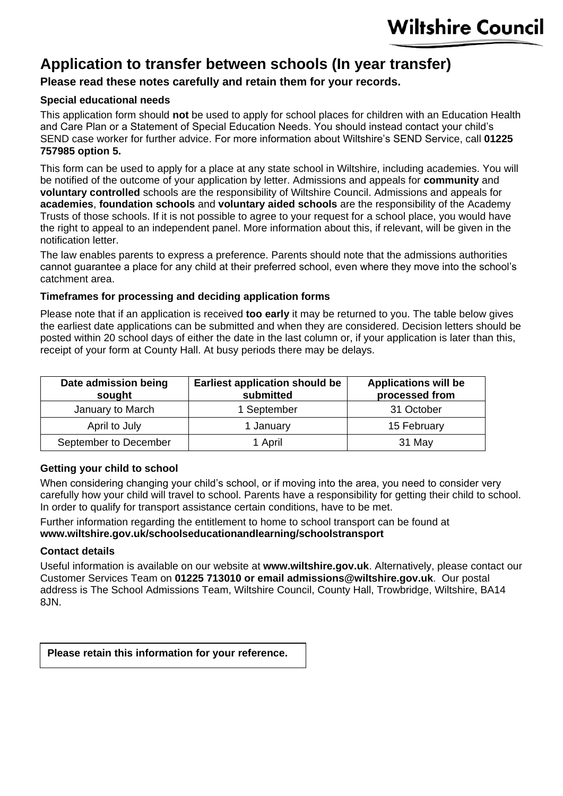# **Application to transfer between schools (In year transfer)**

## **Please read these notes carefully and retain them for your records.**

## **Special educational needs**

This application form should **not** be used to apply for school places for children with an Education Health and Care Plan or a Statement of Special Education Needs. You should instead contact your child's SEND case worker for further advice. For more information about Wiltshire's SEND Service, call **01225 757985 option 5.**

This form can be used to apply for a place at any state school in Wiltshire, including academies. You will be notified of the outcome of your application by letter. Admissions and appeals for **community** and **voluntary controlled** schools are the responsibility of Wiltshire Council. Admissions and appeals for **academies**, **foundation schools** and **voluntary aided schools** are the responsibility of the Academy Trusts of those schools. If it is not possible to agree to your request for a school place, you would have the right to appeal to an independent panel. More information about this, if relevant, will be given in the notification letter.

The law enables parents to express a preference. Parents should note that the admissions authorities cannot guarantee a place for any child at their preferred school, even where they move into the school's catchment area.

#### **Timeframes for processing and deciding application forms**

Please note that if an application is received **too early** it may be returned to you. The table below gives the earliest date applications can be submitted and when they are considered. Decision letters should be posted within 20 school days of either the date in the last column or, if your application is later than this, receipt of your form at County Hall. At busy periods there may be delays.

| Date admission being<br>sought | <b>Earliest application should be</b><br>submitted | <b>Applications will be</b><br>processed from |
|--------------------------------|----------------------------------------------------|-----------------------------------------------|
| January to March               | 1 September                                        | 31 October                                    |
| April to July                  | 1 January                                          | 15 February                                   |
| September to December          | 1 April                                            | 31 May                                        |

#### **Getting your child to school**

When considering changing your child's school, or if moving into the area, you need to consider very carefully how your child will travel to school. Parents have a responsibility for getting their child to school. In order to qualify for transport assistance certain conditions, have to be met.

Further information regarding the entitlement to home to school transport can be found at **[www.wiltshire.gov.uk/schoolseducationandlearning/schoolstransport](http://www.wiltshire.gov.uk/schoolseducationandlearning/schoolstransport.htm)**

#### **Contact details**

Useful information is available on our website at **www.wiltshire.gov.uk**. Alternatively, please contact our Customer Services Team on **01225 713010 or email [admissions@wiltshire.gov.uk](mailto:admissions@wiltshire.gov.uk)**. Our postal address is The School Admissions Team, Wiltshire Council, County Hall, Trowbridge, Wiltshire, BA14 8JN.

**Please retain this information for your reference.**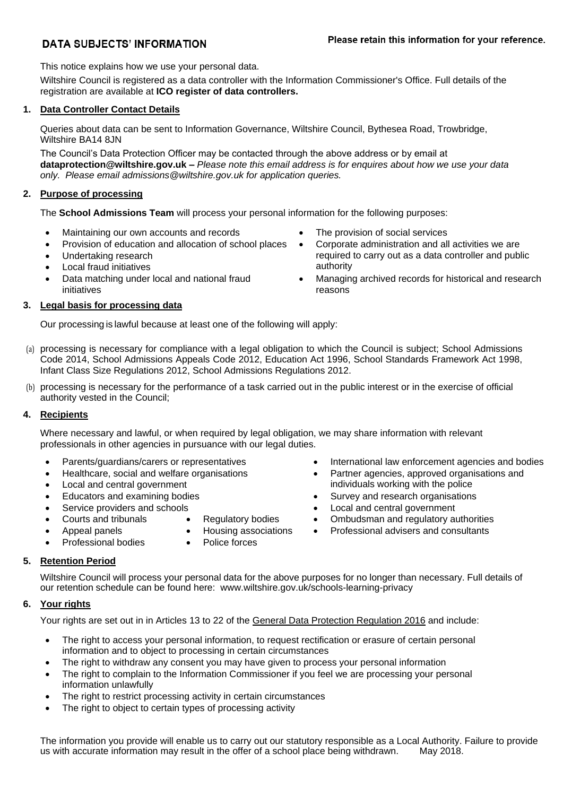### **DATA SUBJECTS' INFORMATION**

This notice explains how we use your personal data.

Wiltshire Council is registered as a data controller with the Information Commissioner's Office. Full details of the registration are available at **[ICO register of data controllers.](https://ico.org.uk/ESDWebPages/Entry/Z1668953)** 

#### **1. Data Controller Contact Details**

Queries about data can be sent to Information Governance, Wiltshire Council, Bythesea Road, Trowbridge, Wiltshire BA14 8JN

The Council's Data Protection Officer may be contacted through the above address or by email at **[dataprotection@wiltshire.gov.uk](mailto:dataprotection@wiltshire.gov.uk) –** *Please note this email address is for enquires about how we use your data only. Please email admissions@wiltshire.gov.uk for application queries.*

#### **2. Purpose of processing**

The **School Admissions Team** will process your personal information for the following purposes:

- Maintaining our own accounts and records The provision of social services
- Provision of education and allocation of school places
- Undertaking research
- Local fraud initiatives
- Data matching under local and national fraud initiatives

#### **3. Legal basis for processing data**

Our processing is lawful because at least one of the following will apply:

- (a) processing is necessary for compliance with a legal obligation to which the Council is subject; School Admissions Code 2014, School Admissions Appeals Code 2012, Education Act 1996, School Standards Framework Act 1998, Infant Class Size Regulations 2012, School Admissions Regulations 2012.
- (b) processing is necessary for the performance of a task carried out in the public interest or in the exercise of official authority vested in the Council;

#### **4. Recipients**

Where necessary and lawful, or when required by legal obligation, we may share information with relevant professionals in other agencies in pursuance with our legal duties.

- 
- Healthcare, social and welfare organisations
- Local and central government
- 
- 
- 
- 
- 
- 
- 
- Parents/guardians/carers or representatives International law enforcement agencies and bodies
	- Partner agencies, approved organisations and individuals working with the police
- Educators and examining bodies **•** Survey and research organisations
	- Service providers and schools Local and central government
	- Courts and tribunals Regulatory bodies Ombudsman and regulatory authorities
	- Appeal panels Housing associations Professional advisers and consultants
- Professional bodies Police forces
	-

#### **5. Retention Period**

Wiltshire Council will process your personal data for the above purposes for no longer than necessary. Full details of [our retention schedule](http://www.wiltshire.gov.uk/freedom-of-information) can be found here: [www.wiltshire.gov.uk/schools-learning-privacy](http://www.wiltshire.gov.uk/schools-learning-privacy)

#### **6. Your rights**

Your rights are set out in in Articles 13 to 22 of the [General Data Protection Regulation 2016](http://ec.europa.eu/justice/data-protection/reform/files/regulation_oj_en.pdf) and include:

- The right to access your personal information, to request rectification or erasure of certain personal information and to object to processing in certain circumstances
- The right to withdraw any consent you may have given to process your personal information
- The right to complain to the Information Commissioner if you feel we are processing your personal information unlawfully
- The right to restrict processing activity in certain circumstances
- The right to object to certain types of processing activity

The information you provide will enable us to carry out our statutory responsible as a Local Authority. Failure to provide us with accurate information may result in the offer of a school place being withdrawn. May 2018. us with accurate information may result in the offer of a school place being withdrawn.

- 
- Corporate administration and all activities we are required to carry out as a data controller and public authority
- Managing archived records for historical and research reasons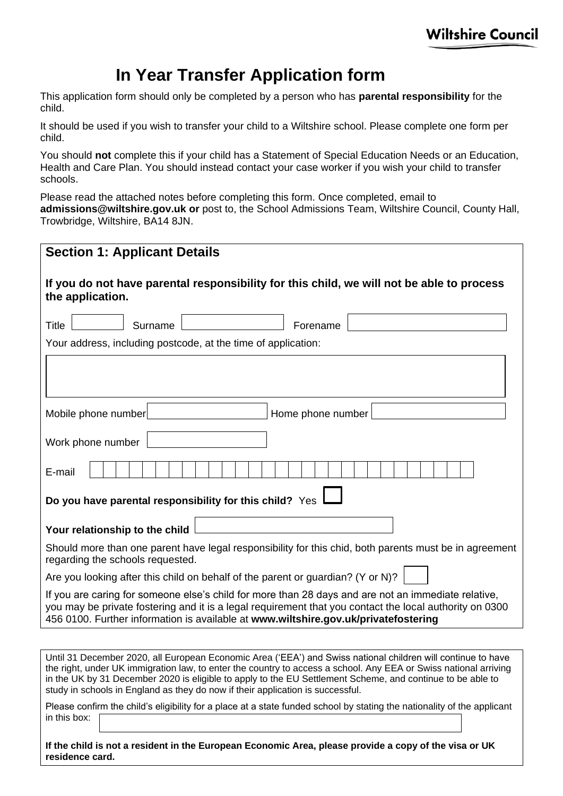# **In Year Transfer Application form**

This application form should only be completed by a person who has **parental responsibility** for the child.

It should be used if you wish to transfer your child to a Wiltshire school. Please complete one form per child.

You should **not** complete this if your child has a Statement of Special Education Needs or an Education, Health and Care Plan. You should instead contact your case worker if you wish your child to transfer schools.

Please read the attached notes before completing this form. Once completed, email to **[admissions@wiltshire.gov.uk](mailto:admissions@wiltshire.gov.uk) or** post to, the School Admissions Team, Wiltshire Council, County Hall, Trowbridge, Wiltshire, BA14 8JN.

| <b>Section 1: Applicant Details</b>                                                                                                                                                                                                                                                                                                                                                                                              |
|----------------------------------------------------------------------------------------------------------------------------------------------------------------------------------------------------------------------------------------------------------------------------------------------------------------------------------------------------------------------------------------------------------------------------------|
| If you do not have parental responsibility for this child, we will not be able to process<br>the application.                                                                                                                                                                                                                                                                                                                    |
| <b>Title</b><br>Surname<br>Forename                                                                                                                                                                                                                                                                                                                                                                                              |
| Your address, including postcode, at the time of application:                                                                                                                                                                                                                                                                                                                                                                    |
|                                                                                                                                                                                                                                                                                                                                                                                                                                  |
| Mobile phone number<br>Home phone number                                                                                                                                                                                                                                                                                                                                                                                         |
| Work phone number                                                                                                                                                                                                                                                                                                                                                                                                                |
| E-mail                                                                                                                                                                                                                                                                                                                                                                                                                           |
| Do you have parental responsibility for this child? Yes                                                                                                                                                                                                                                                                                                                                                                          |
| Your relationship to the child                                                                                                                                                                                                                                                                                                                                                                                                   |
| Should more than one parent have legal responsibility for this chid, both parents must be in agreement<br>regarding the schools requested.                                                                                                                                                                                                                                                                                       |
| Are you looking after this child on behalf of the parent or guardian? (Y or N)?                                                                                                                                                                                                                                                                                                                                                  |
| If you are caring for someone else's child for more than 28 days and are not an immediate relative,<br>you may be private fostering and it is a legal requirement that you contact the local authority on 0300<br>456 0100. Further information is available at www.wiltshire.gov.uk/privatefostering                                                                                                                            |
|                                                                                                                                                                                                                                                                                                                                                                                                                                  |
| Until 31 December 2020, all European Economic Area ('EEA') and Swiss national children will continue to have<br>the right, under UK immigration law, to enter the country to access a school. Any EEA or Swiss national arriving<br>in the UK by 31 December 2020 is eligible to apply to the EU Settlement Scheme, and continue to be able to<br>study in schools in England as they do now if their application is successful. |

Please confirm the child's eligibility for a place at a state funded school by stating the nationality of the applicant in this box:

**If the child is not a resident in the European Economic Area, please provide a copy of the visa or UK residence card.**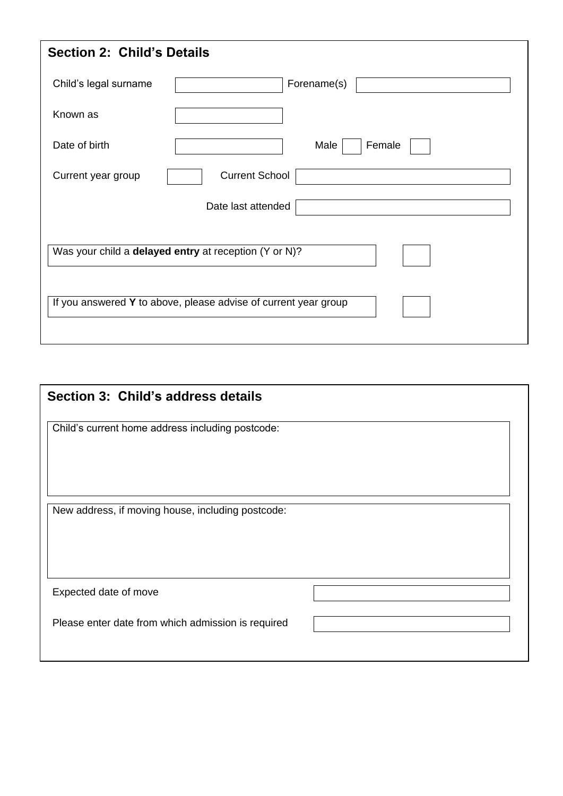| <b>Section 2: Child's Details</b>                                                                                        |                       |  |  |
|--------------------------------------------------------------------------------------------------------------------------|-----------------------|--|--|
| Child's legal surname                                                                                                    | Forename(s)           |  |  |
| Known as                                                                                                                 |                       |  |  |
| Date of birth                                                                                                            | Male<br>Female        |  |  |
| Current year group                                                                                                       | <b>Current School</b> |  |  |
|                                                                                                                          | Date last attended    |  |  |
| Was your child a delayed entry at reception (Y or N)?<br>If you answered Y to above, please advise of current year group |                       |  |  |

| Section 3: Child's address details                 |  |
|----------------------------------------------------|--|
| Child's current home address including postcode:   |  |
|                                                    |  |
|                                                    |  |
| New address, if moving house, including postcode:  |  |
|                                                    |  |
|                                                    |  |
| Expected date of move                              |  |
| Please enter date from which admission is required |  |
|                                                    |  |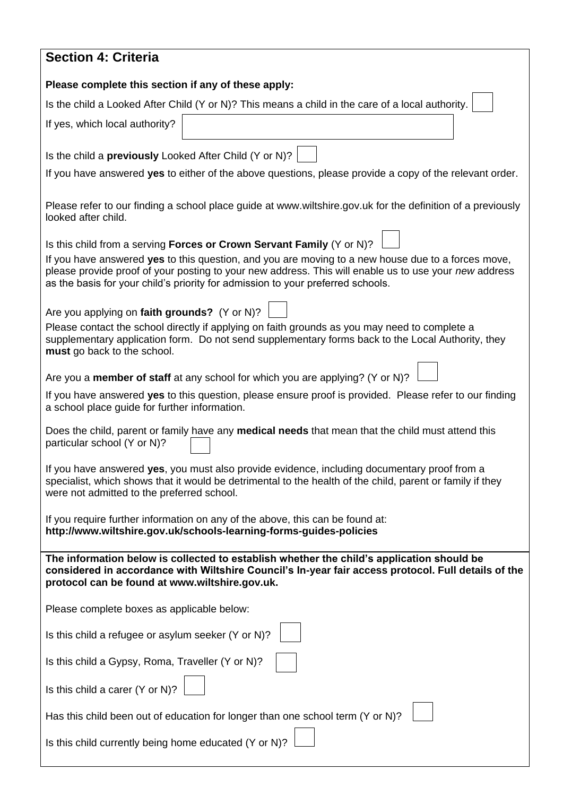| <b>Section 4: Criteria</b>                                                                                                                                                                                                                                                                                                                                              |
|-------------------------------------------------------------------------------------------------------------------------------------------------------------------------------------------------------------------------------------------------------------------------------------------------------------------------------------------------------------------------|
| Please complete this section if any of these apply:                                                                                                                                                                                                                                                                                                                     |
| Is the child a Looked After Child (Y or N)? This means a child in the care of a local authority.                                                                                                                                                                                                                                                                        |
| If yes, which local authority?                                                                                                                                                                                                                                                                                                                                          |
| Is the child a <b>previously</b> Looked After Child $(Y \text{ or } N)?$                                                                                                                                                                                                                                                                                                |
| If you have answered yes to either of the above questions, please provide a copy of the relevant order.                                                                                                                                                                                                                                                                 |
| Please refer to our finding a school place guide at www.wiltshire.gov.uk for the definition of a previously<br>looked after child.                                                                                                                                                                                                                                      |
| Is this child from a serving Forces or Crown Servant Family (Y or N)?<br>If you have answered yes to this question, and you are moving to a new house due to a forces move,<br>please provide proof of your posting to your new address. This will enable us to use your new address<br>as the basis for your child's priority for admission to your preferred schools. |
| Are you applying on faith grounds? (Y or N)?<br>Please contact the school directly if applying on faith grounds as you may need to complete a<br>supplementary application form. Do not send supplementary forms back to the Local Authority, they<br>must go back to the school.                                                                                       |
| Are you a member of staff at any school for which you are applying? (Y or N)?                                                                                                                                                                                                                                                                                           |
| If you have answered yes to this question, please ensure proof is provided. Please refer to our finding<br>a school place guide for further information.                                                                                                                                                                                                                |
| Does the child, parent or family have any medical needs that mean that the child must attend this<br>particular school (Y or N)?                                                                                                                                                                                                                                        |
| If you have answered yes, you must also provide evidence, including documentary proof from a<br>specialist, which shows that it would be detrimental to the health of the child, parent or family if they<br>were not admitted to the preferred school.                                                                                                                 |
| If you require further information on any of the above, this can be found at:<br>http://www.wiltshire.gov.uk/schools-learning-forms-guides-policies                                                                                                                                                                                                                     |
| The information below is collected to establish whether the child's application should be<br>considered in accordance with Wiltshire Council's In-year fair access protocol. Full details of the<br>protocol can be found at www.wiltshire.gov.uk.                                                                                                                      |
| Please complete boxes as applicable below:                                                                                                                                                                                                                                                                                                                              |
| Is this child a refugee or asylum seeker (Y or N)?                                                                                                                                                                                                                                                                                                                      |
| Is this child a Gypsy, Roma, Traveller (Y or N)?                                                                                                                                                                                                                                                                                                                        |
| Is this child a carer (Y or N)?                                                                                                                                                                                                                                                                                                                                         |
| Has this child been out of education for longer than one school term (Y or N)?                                                                                                                                                                                                                                                                                          |
| Is this child currently being home educated (Y or N)?                                                                                                                                                                                                                                                                                                                   |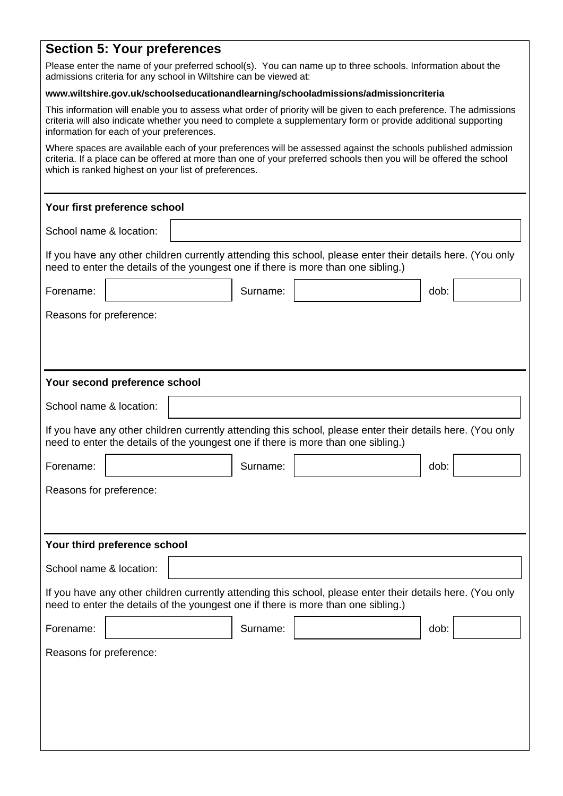# **Section 5: Your preferences**

Please enter the name of your preferred school(s). You can name up to three schools. Information about the admissions criteria for any school in Wiltshire can be viewed at:

#### **[www.wiltshire.gov.uk/schoolseducationandlearning/schooladmissions/admissioncriteria](http://www.wiltshire.gov.uk/schoolseducationandlearning/schooladmissions/admissioncriteria.htm)**

This information will enable you to assess what order of priority will be given to each preference. The admissions criteria will also indicate whether you need to complete a supplementary form or provide additional supporting information for each of your preferences.

Where spaces are available each of your preferences will be assessed against the schools published admission criteria. If a place can be offered at more than one of your preferred schools then you will be offered the school which is ranked highest on your list of preferences.

#### **Your first preference school**

School name & location:

If you have any other children currently attending this school, please enter their details here. (You only need to enter the details of the youngest one if there is more than one sibling.)

# Forename:  $\vert$  dob:  $\vert$  Surname:  $\vert$  dob: Reasons for preference: **Your second preference school** School name & location: If you have any other children currently attending this school, please enter their details here. (You only need to enter the details of the youngest one if there is more than one sibling.)

| Forename:               |                              | Surname: |                                                                                                                                                                                                 | dob: |  |
|-------------------------|------------------------------|----------|-------------------------------------------------------------------------------------------------------------------------------------------------------------------------------------------------|------|--|
| Reasons for preference: |                              |          |                                                                                                                                                                                                 |      |  |
|                         |                              |          |                                                                                                                                                                                                 |      |  |
|                         | Your third preference school |          |                                                                                                                                                                                                 |      |  |
|                         |                              |          |                                                                                                                                                                                                 |      |  |
| School name & location: |                              |          |                                                                                                                                                                                                 |      |  |
|                         |                              |          | If you have any other children currently attending this school, please enter their details here. (You only<br>need to enter the details of the youngest one if there is more than one sibling.) |      |  |
| Forename:               |                              | Surname: |                                                                                                                                                                                                 | dob: |  |
| Reasons for preference: |                              |          |                                                                                                                                                                                                 |      |  |
|                         |                              |          |                                                                                                                                                                                                 |      |  |
|                         |                              |          |                                                                                                                                                                                                 |      |  |
|                         |                              |          |                                                                                                                                                                                                 |      |  |